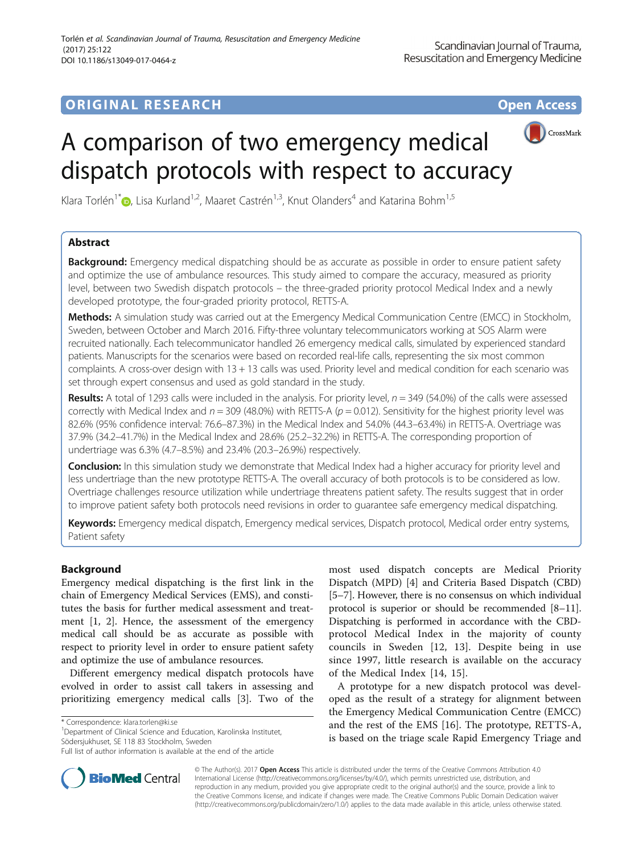# **ORIGINAL RESEARCH CONSUMING ACCESS**



# A comparison of two emergency medical dispatch protocols with respect to accuracy

Klara Torlén<sup>1[\\*](http://orcid.org/0000-0002-8433-7828)</sup> $\odot$ , Lisa Kurland<sup>1,2</sup>, Maaret Castrén<sup>1,3</sup>, Knut Olanders<sup>4</sup> and Katarina Bohm<sup>1,5</sup>

# Abstract

**Background:** Emergency medical dispatching should be as accurate as possible in order to ensure patient safety and optimize the use of ambulance resources. This study aimed to compare the accuracy, measured as priority level, between two Swedish dispatch protocols – the three-graded priority protocol Medical Index and a newly developed prototype, the four-graded priority protocol, RETTS-A.

Methods: A simulation study was carried out at the Emergency Medical Communication Centre (EMCC) in Stockholm, Sweden, between October and March 2016. Fifty-three voluntary telecommunicators working at SOS Alarm were recruited nationally. Each telecommunicator handled 26 emergency medical calls, simulated by experienced standard patients. Manuscripts for the scenarios were based on recorded real-life calls, representing the six most common complaints. A cross-over design with 13 + 13 calls was used. Priority level and medical condition for each scenario was set through expert consensus and used as gold standard in the study.

**Results:** A total of 1293 calls were included in the analysis. For priority level,  $n = 349$  (54.0%) of the calls were assessed correctly with Medical Index and  $n = 309$  (48.0%) with RETTS-A ( $p = 0.012$ ). Sensitivity for the highest priority level was 82.6% (95% confidence interval: 76.6–87.3%) in the Medical Index and 54.0% (44.3–63.4%) in RETTS-A. Overtriage was 37.9% (34.2–41.7%) in the Medical Index and 28.6% (25.2–32.2%) in RETTS-A. The corresponding proportion of undertriage was 6.3% (4.7–8.5%) and 23.4% (20.3–26.9%) respectively.

**Conclusion:** In this simulation study we demonstrate that Medical Index had a higher accuracy for priority level and less undertriage than the new prototype RETTS-A. The overall accuracy of both protocols is to be considered as low. Overtriage challenges resource utilization while undertriage threatens patient safety. The results suggest that in order to improve patient safety both protocols need revisions in order to guarantee safe emergency medical dispatching.

Keywords: Emergency medical dispatch, Emergency medical services, Dispatch protocol, Medical order entry systems, Patient safety

# Background

Emergency medical dispatching is the first link in the chain of Emergency Medical Services (EMS), and constitutes the basis for further medical assessment and treatment [\[1](#page-6-0), [2](#page-6-0)]. Hence, the assessment of the emergency medical call should be as accurate as possible with respect to priority level in order to ensure patient safety and optimize the use of ambulance resources.

Different emergency medical dispatch protocols have evolved in order to assist call takers in assessing and prioritizing emergency medical calls [[3\]](#page-6-0). Two of the

<sup>1</sup>Department of Clinical Science and Education, Karolinska Institutet, Södersjukhuset, SE 118 83 Stockholm, Sweden

most used dispatch concepts are Medical Priority Dispatch (MPD) [[4](#page-6-0)] and Criteria Based Dispatch (CBD) [[5](#page-6-0)–[7](#page-6-0)]. However, there is no consensus on which individual protocol is superior or should be recommended [\[8](#page-6-0)–[11](#page-6-0)]. Dispatching is performed in accordance with the CBDprotocol Medical Index in the majority of county councils in Sweden [[12](#page-6-0), [13\]](#page-7-0). Despite being in use since 1997, little research is available on the accuracy of the Medical Index [[14, 15\]](#page-7-0).

A prototype for a new dispatch protocol was developed as the result of a strategy for alignment between the Emergency Medical Communication Centre (EMCC) and the rest of the EMS [\[16](#page-7-0)]. The prototype, RETTS-A, is based on the triage scale Rapid Emergency Triage and



© The Author(s). 2017 **Open Access** This article is distributed under the terms of the Creative Commons Attribution 4.0 International License [\(http://creativecommons.org/licenses/by/4.0/](http://creativecommons.org/licenses/by/4.0/)), which permits unrestricted use, distribution, and reproduction in any medium, provided you give appropriate credit to the original author(s) and the source, provide a link to the Creative Commons license, and indicate if changes were made. The Creative Commons Public Domain Dedication waiver [\(http://creativecommons.org/publicdomain/zero/1.0/](http://creativecommons.org/publicdomain/zero/1.0/)) applies to the data made available in this article, unless otherwise stated.

<sup>\*</sup> Correspondence: [klara.torlen@ki.se](mailto:klara.torlen@ki.se) <sup>1</sup>

Full list of author information is available at the end of the article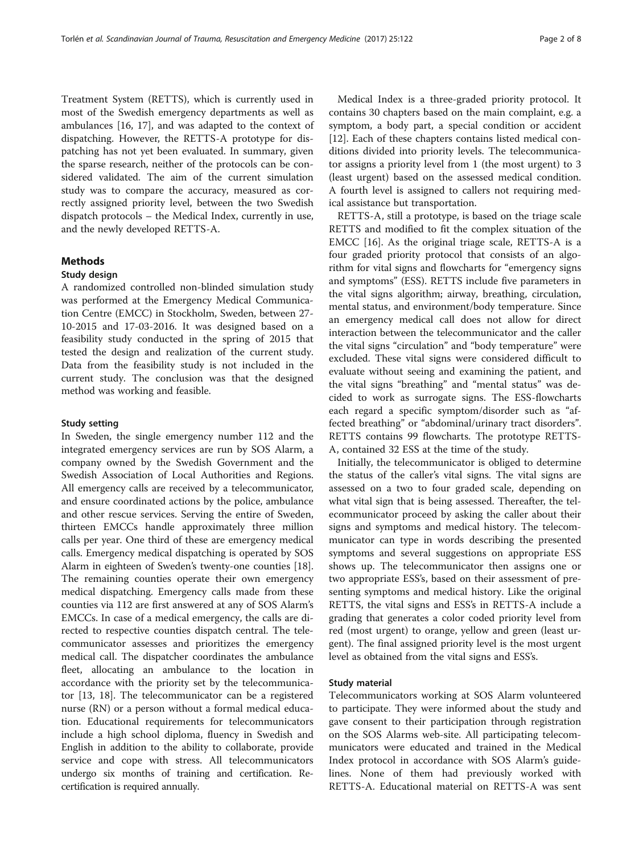Treatment System (RETTS), which is currently used in most of the Swedish emergency departments as well as ambulances [[16](#page-7-0), [17](#page-7-0)], and was adapted to the context of dispatching. However, the RETTS-A prototype for dispatching has not yet been evaluated. In summary, given the sparse research, neither of the protocols can be considered validated. The aim of the current simulation study was to compare the accuracy, measured as correctly assigned priority level, between the two Swedish dispatch protocols – the Medical Index, currently in use, and the newly developed RETTS-A.

# Methods

# Study design

A randomized controlled non-blinded simulation study was performed at the Emergency Medical Communication Centre (EMCC) in Stockholm, Sweden, between 27- 10-2015 and 17-03-2016. It was designed based on a feasibility study conducted in the spring of 2015 that tested the design and realization of the current study. Data from the feasibility study is not included in the current study. The conclusion was that the designed method was working and feasible.

#### Study setting

In Sweden, the single emergency number 112 and the integrated emergency services are run by SOS Alarm, a company owned by the Swedish Government and the Swedish Association of Local Authorities and Regions. All emergency calls are received by a telecommunicator, and ensure coordinated actions by the police, ambulance and other rescue services. Serving the entire of Sweden, thirteen EMCCs handle approximately three million calls per year. One third of these are emergency medical calls. Emergency medical dispatching is operated by SOS Alarm in eighteen of Sweden's twenty-one counties [\[18](#page-7-0)]. The remaining counties operate their own emergency medical dispatching. Emergency calls made from these counties via 112 are first answered at any of SOS Alarm's EMCCs. In case of a medical emergency, the calls are directed to respective counties dispatch central. The telecommunicator assesses and prioritizes the emergency medical call. The dispatcher coordinates the ambulance fleet, allocating an ambulance to the location in accordance with the priority set by the telecommunicator [[13, 18\]](#page-7-0). The telecommunicator can be a registered nurse (RN) or a person without a formal medical education. Educational requirements for telecommunicators include a high school diploma, fluency in Swedish and English in addition to the ability to collaborate, provide service and cope with stress. All telecommunicators undergo six months of training and certification. Recertification is required annually.

Medical Index is a three-graded priority protocol. It contains 30 chapters based on the main complaint, e.g. a symptom, a body part, a special condition or accident [[12\]](#page-6-0). Each of these chapters contains listed medical conditions divided into priority levels. The telecommunicator assigns a priority level from 1 (the most urgent) to 3 (least urgent) based on the assessed medical condition. A fourth level is assigned to callers not requiring medical assistance but transportation.

RETTS-A, still a prototype, is based on the triage scale RETTS and modified to fit the complex situation of the EMCC [\[16\]](#page-7-0). As the original triage scale, RETTS-A is a four graded priority protocol that consists of an algorithm for vital signs and flowcharts for "emergency signs and symptoms" (ESS). RETTS include five parameters in the vital signs algorithm; airway, breathing, circulation, mental status, and environment/body temperature. Since an emergency medical call does not allow for direct interaction between the telecommunicator and the caller the vital signs "circulation" and "body temperature" were excluded. These vital signs were considered difficult to evaluate without seeing and examining the patient, and the vital signs "breathing" and "mental status" was decided to work as surrogate signs. The ESS-flowcharts each regard a specific symptom/disorder such as "affected breathing" or "abdominal/urinary tract disorders". RETTS contains 99 flowcharts. The prototype RETTS-A, contained 32 ESS at the time of the study.

Initially, the telecommunicator is obliged to determine the status of the caller's vital signs. The vital signs are assessed on a two to four graded scale, depending on what vital sign that is being assessed. Thereafter, the telecommunicator proceed by asking the caller about their signs and symptoms and medical history. The telecommunicator can type in words describing the presented symptoms and several suggestions on appropriate ESS shows up. The telecommunicator then assigns one or two appropriate ESS's, based on their assessment of presenting symptoms and medical history. Like the original RETTS, the vital signs and ESS's in RETTS-A include a grading that generates a color coded priority level from red (most urgent) to orange, yellow and green (least urgent). The final assigned priority level is the most urgent level as obtained from the vital signs and ESS's.

## Study material

Telecommunicators working at SOS Alarm volunteered to participate. They were informed about the study and gave consent to their participation through registration on the SOS Alarms web-site. All participating telecommunicators were educated and trained in the Medical Index protocol in accordance with SOS Alarm's guidelines. None of them had previously worked with RETTS-A. Educational material on RETTS-A was sent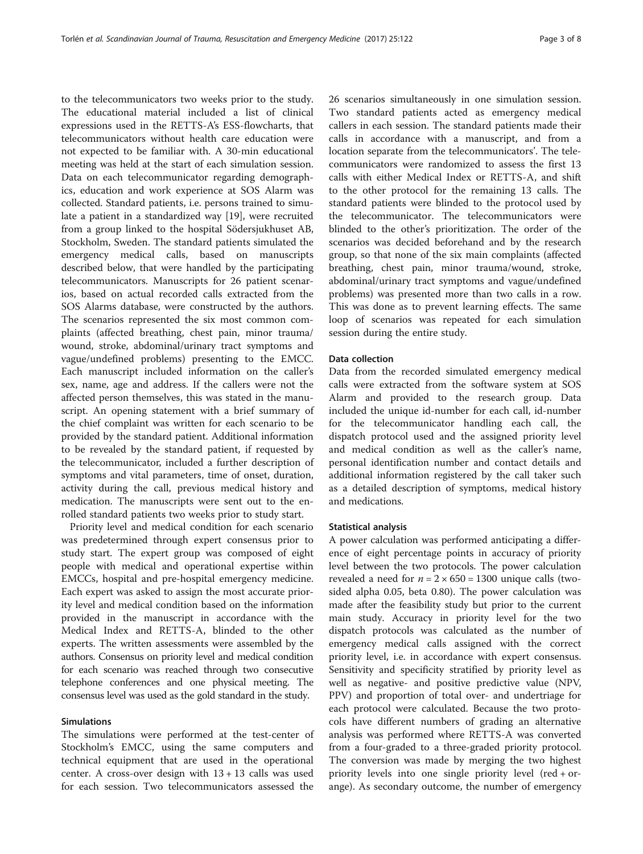to the telecommunicators two weeks prior to the study. The educational material included a list of clinical expressions used in the RETTS-A's ESS-flowcharts, that telecommunicators without health care education were not expected to be familiar with. A 30-min educational meeting was held at the start of each simulation session. Data on each telecommunicator regarding demographics, education and work experience at SOS Alarm was collected. Standard patients, i.e. persons trained to simulate a patient in a standardized way [\[19\]](#page-7-0), were recruited from a group linked to the hospital Södersjukhuset AB, Stockholm, Sweden. The standard patients simulated the emergency medical calls, based on manuscripts described below, that were handled by the participating telecommunicators. Manuscripts for 26 patient scenarios, based on actual recorded calls extracted from the SOS Alarms database, were constructed by the authors. The scenarios represented the six most common complaints (affected breathing, chest pain, minor trauma/ wound, stroke, abdominal/urinary tract symptoms and vague/undefined problems) presenting to the EMCC. Each manuscript included information on the caller's sex, name, age and address. If the callers were not the affected person themselves, this was stated in the manuscript. An opening statement with a brief summary of the chief complaint was written for each scenario to be provided by the standard patient. Additional information to be revealed by the standard patient, if requested by the telecommunicator, included a further description of symptoms and vital parameters, time of onset, duration, activity during the call, previous medical history and medication. The manuscripts were sent out to the enrolled standard patients two weeks prior to study start.

Priority level and medical condition for each scenario was predetermined through expert consensus prior to study start. The expert group was composed of eight people with medical and operational expertise within EMCCs, hospital and pre-hospital emergency medicine. Each expert was asked to assign the most accurate priority level and medical condition based on the information provided in the manuscript in accordance with the Medical Index and RETTS-A, blinded to the other experts. The written assessments were assembled by the authors. Consensus on priority level and medical condition for each scenario was reached through two consecutive telephone conferences and one physical meeting. The consensus level was used as the gold standard in the study.

#### Simulations

The simulations were performed at the test-center of Stockholm's EMCC, using the same computers and technical equipment that are used in the operational center. A cross-over design with  $13 + 13$  calls was used for each session. Two telecommunicators assessed the

26 scenarios simultaneously in one simulation session. Two standard patients acted as emergency medical callers in each session. The standard patients made their calls in accordance with a manuscript, and from a location separate from the telecommunicators'. The telecommunicators were randomized to assess the first 13 calls with either Medical Index or RETTS-A, and shift to the other protocol for the remaining 13 calls. The standard patients were blinded to the protocol used by the telecommunicator. The telecommunicators were blinded to the other's prioritization. The order of the scenarios was decided beforehand and by the research group, so that none of the six main complaints (affected breathing, chest pain, minor trauma/wound, stroke, abdominal/urinary tract symptoms and vague/undefined problems) was presented more than two calls in a row. This was done as to prevent learning effects. The same loop of scenarios was repeated for each simulation session during the entire study.

## Data collection

Data from the recorded simulated emergency medical calls were extracted from the software system at SOS Alarm and provided to the research group. Data included the unique id-number for each call, id-number for the telecommunicator handling each call, the dispatch protocol used and the assigned priority level and medical condition as well as the caller's name, personal identification number and contact details and additional information registered by the call taker such as a detailed description of symptoms, medical history and medications.

#### Statistical analysis

A power calculation was performed anticipating a difference of eight percentage points in accuracy of priority level between the two protocols. The power calculation revealed a need for  $n = 2 \times 650 = 1300$  unique calls (twosided alpha 0.05, beta 0.80). The power calculation was made after the feasibility study but prior to the current main study. Accuracy in priority level for the two dispatch protocols was calculated as the number of emergency medical calls assigned with the correct priority level, i.e. in accordance with expert consensus. Sensitivity and specificity stratified by priority level as well as negative- and positive predictive value (NPV, PPV) and proportion of total over- and undertriage for each protocol were calculated. Because the two protocols have different numbers of grading an alternative analysis was performed where RETTS-A was converted from a four-graded to a three-graded priority protocol. The conversion was made by merging the two highest priority levels into one single priority level (red + orange). As secondary outcome, the number of emergency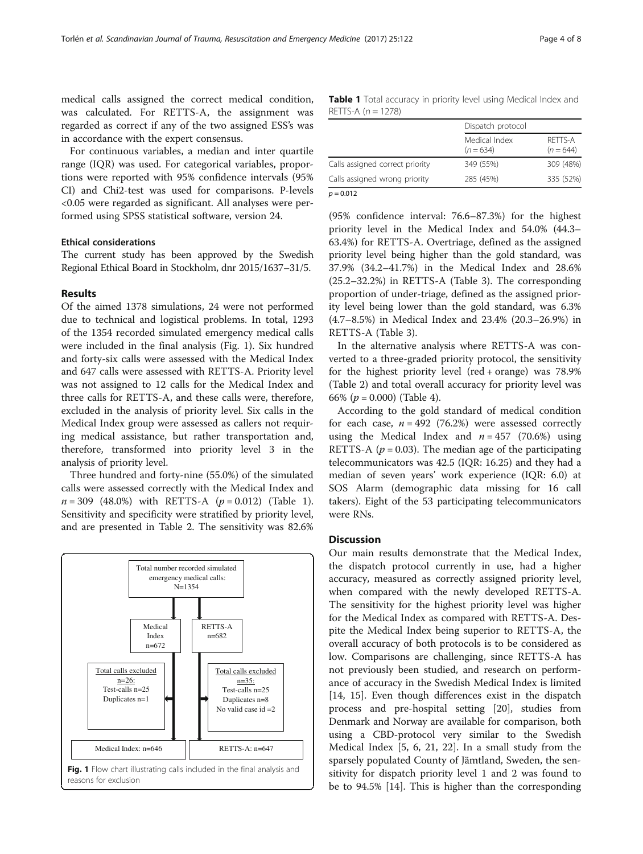medical calls assigned the correct medical condition, was calculated. For RETTS-A, the assignment was regarded as correct if any of the two assigned ESS's was in accordance with the expert consensus.

For continuous variables, a median and inter quartile range (IQR) was used. For categorical variables, proportions were reported with 95% confidence intervals (95% CI) and Chi2-test was used for comparisons. P-levels <0.05 were regarded as significant. All analyses were performed using SPSS statistical software, version 24.

# Ethical considerations

The current study has been approved by the Swedish Regional Ethical Board in Stockholm, dnr 2015/1637–31/5.

# Results

Of the aimed 1378 simulations, 24 were not performed due to technical and logistical problems. In total, 1293 of the 1354 recorded simulated emergency medical calls were included in the final analysis (Fig. 1). Six hundred and forty-six calls were assessed with the Medical Index and 647 calls were assessed with RETTS-A. Priority level was not assigned to 12 calls for the Medical Index and three calls for RETTS-A, and these calls were, therefore, excluded in the analysis of priority level. Six calls in the Medical Index group were assessed as callers not requiring medical assistance, but rather transportation and, therefore, transformed into priority level 3 in the analysis of priority level.

Three hundred and forty-nine (55.0%) of the simulated calls were assessed correctly with the Medical Index and  $n = 309$  (48.0%) with RETTS-A ( $p = 0.012$ ) (Table 1). Sensitivity and specificity were stratified by priority level, and are presented in Table [2.](#page-4-0) The sensitivity was 82.6%



Table 1 Total accuracy in priority level using Medical Index and RETTS-A  $(n = 1278)$ 

|                                 | Dispatch protocol            |                        |  |
|---------------------------------|------------------------------|------------------------|--|
|                                 | Medical Index<br>$(n = 634)$ | RETTS-A<br>$(n = 644)$ |  |
| Calls assigned correct priority | 349 (55%)                    | 309 (48%)              |  |
| Calls assigned wrong priority   | 285 (45%)                    | 335 (52%)              |  |
| $p = 0.012$                     |                              |                        |  |

(95% confidence interval: 76.6–87.3%) for the highest priority level in the Medical Index and 54.0% (44.3– 63.4%) for RETTS-A. Overtriage, defined as the assigned priority level being higher than the gold standard, was 37.9% (34.2–41.7%) in the Medical Index and 28.6% (25.2–32.2%) in RETTS-A (Table [3](#page-4-0)). The corresponding proportion of under-triage, defined as the assigned priority level being lower than the gold standard, was 6.3% (4.7–8.5%) in Medical Index and 23.4% (20.3–26.9%) in RETTS-A (Table [3](#page-4-0)).

In the alternative analysis where RETTS-A was converted to a three-graded priority protocol, the sensitivity for the highest priority level (red + orange) was 78.9% (Table [2](#page-4-0)) and total overall accuracy for priority level was 66%  $(p = 0.000)$  (Table [4](#page-4-0)).

According to the gold standard of medical condition for each case,  $n = 492$  (76.2%) were assessed correctly using the Medical Index and  $n = 457$  (70.6%) using RETTS-A ( $p = 0.03$ ). The median age of the participating telecommunicators was 42.5 (IQR: 16.25) and they had a median of seven years' work experience (IQR: 6.0) at SOS Alarm (demographic data missing for 16 call takers). Eight of the 53 participating telecommunicators were RNs.

# **Discussion**

Our main results demonstrate that the Medical Index, the dispatch protocol currently in use, had a higher accuracy, measured as correctly assigned priority level, when compared with the newly developed RETTS-A. The sensitivity for the highest priority level was higher for the Medical Index as compared with RETTS-A. Despite the Medical Index being superior to RETTS-A, the overall accuracy of both protocols is to be considered as low. Comparisons are challenging, since RETTS-A has not previously been studied, and research on performance of accuracy in the Swedish Medical Index is limited [[14, 15](#page-7-0)]. Even though differences exist in the dispatch process and pre-hospital setting [\[20\]](#page-7-0), studies from Denmark and Norway are available for comparison, both using a CBD-protocol very similar to the Swedish Medical Index [[5, 6,](#page-6-0) [21, 22\]](#page-7-0). In a small study from the sparsely populated County of Jämtland, Sweden, the sensitivity for dispatch priority level 1 and 2 was found to be to 94.5% [[14](#page-7-0)]. This is higher than the corresponding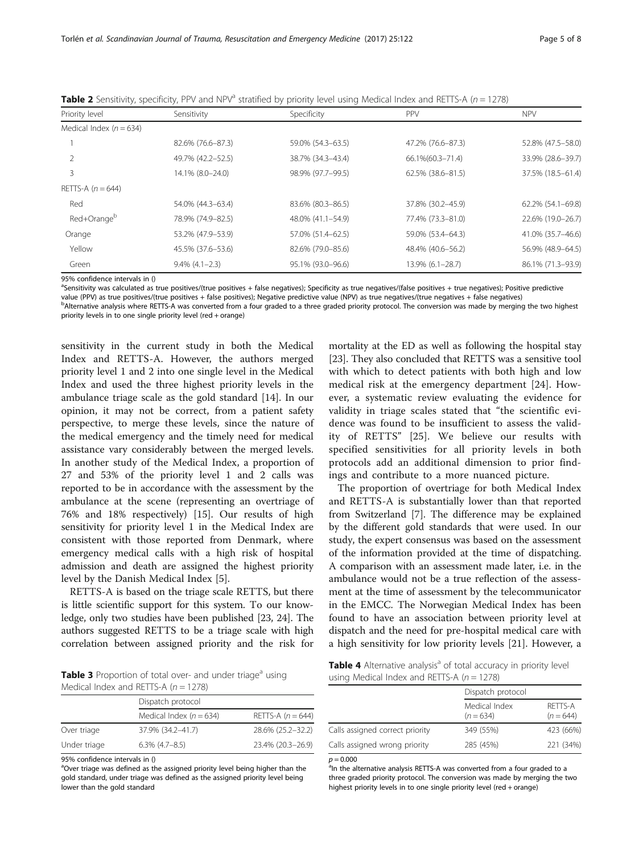| Priority level              | Sensitivity           | Specificity       | <b>PPV</b>        | <b>NPV</b>        |
|-----------------------------|-----------------------|-------------------|-------------------|-------------------|
| Medical Index ( $n = 634$ ) |                       |                   |                   |                   |
|                             | 82.6% (76.6-87.3)     | 59.0% (54.3-63.5) | 47.2% (76.6-87.3) | 52.8% (47.5-58.0) |
|                             | 49.7% (42.2–52.5)     | 38.7% (34.3-43.4) | 66.1%(60.3-71.4)  | 33.9% (28.6-39.7) |
| 3                           | 14.1% (8.0-24.0)      | 98.9% (97.7-99.5) | 62.5% (38.6-81.5) | 37.5% (18.5–61.4) |
| RETTS-A $(n = 644)$         |                       |                   |                   |                   |
| Red                         | 54.0% (44.3-63.4)     | 83.6% (80.3-86.5) | 37.8% (30.2-45.9) | 62.2% (54.1-69.8) |
| Red+Orange <sup>b</sup>     | 78.9% (74.9-82.5)     | 48.0% (41.1-54.9) | 77.4% (73.3-81.0) | 22.6% (19.0-26.7) |
| Orange                      | 53.2% (47.9-53.9)     | 57.0% (51.4-62.5) | 59.0% (53.4–64.3) | 41.0% (35.7-46.6) |
| Yellow                      | 45.5% (37.6–53.6)     | 82.6% (79.0-85.6) | 48.4% (40.6-56.2) | 56.9% (48.9-64.5) |
| Green                       | $9.4\%$ $(4.1 - 2.3)$ | 95.1% (93.0-96.6) | 13.9% (6.1-28.7)  | 86.1% (71.3-93.9) |

<span id="page-4-0"></span>**Table 2** Sensitivity, specificity, PPV and NPV<sup>a</sup> stratified by priority level using Medical Index and RETTS-A ( $n = 1278$ )

95% confidence intervals in ()

<sup>a</sup>Sensitivity was calculated as true positives/(true positives + false negatives); Specificity as true negatives/(false positives + true negatives); Positive predictive

value (PPV) as true positives/(true positives + false positives); Negative predictive value (NPV) as true negatives/(true negatives + false neqatives)

<sup>b</sup>Alternative analysis where RETTS-A was converted from a four graded to a three graded priority protocol. The conversion was made by merging the two highest priority levels in to one single priority level (red + orange)

sensitivity in the current study in both the Medical Index and RETTS-A. However, the authors merged priority level 1 and 2 into one single level in the Medical Index and used the three highest priority levels in the ambulance triage scale as the gold standard [\[14](#page-7-0)]. In our opinion, it may not be correct, from a patient safety perspective, to merge these levels, since the nature of the medical emergency and the timely need for medical assistance vary considerably between the merged levels. In another study of the Medical Index, a proportion of 27 and 53% of the priority level 1 and 2 calls was reported to be in accordance with the assessment by the ambulance at the scene (representing an overtriage of 76% and 18% respectively) [\[15](#page-7-0)]. Our results of high sensitivity for priority level 1 in the Medical Index are consistent with those reported from Denmark, where emergency medical calls with a high risk of hospital admission and death are assigned the highest priority level by the Danish Medical Index [[5\]](#page-6-0).

RETTS-A is based on the triage scale RETTS, but there is little scientific support for this system. To our knowledge, only two studies have been published [\[23](#page-7-0), [24](#page-7-0)]. The authors suggested RETTS to be a triage scale with high correlation between assigned priority and the risk for

Table 3 Proportion of total over- and under triage<sup>a</sup> using Medical Index and RETTS-A ( $n = 1278$ )

|              | Dispatch protocol           |                     |  |  |
|--------------|-----------------------------|---------------------|--|--|
|              | Medical Index ( $n = 634$ ) | RETTS-A $(n = 644)$ |  |  |
| Over triage  | 37.9% (34.2-41.7)           | 28.6% (25.2-32.2)   |  |  |
| Under triage | $6.3\%$ $(4.7-8.5)$         | 23.4% (20.3-26.9)   |  |  |

95% confidence intervals in ()

<sup>a</sup>Over triage was defined as the assigned priority level being higher than the gold standard, under triage was defined as the assigned priority level being lower than the gold standard

mortality at the ED as well as following the hospital stay [[23](#page-7-0)]. They also concluded that RETTS was a sensitive tool with which to detect patients with both high and low medical risk at the emergency department [\[24](#page-7-0)]. However, a systematic review evaluating the evidence for validity in triage scales stated that "the scientific evidence was found to be insufficient to assess the validity of RETTS" [[25\]](#page-7-0). We believe our results with specified sensitivities for all priority levels in both protocols add an additional dimension to prior findings and contribute to a more nuanced picture.

The proportion of overtriage for both Medical Index and RETTS-A is substantially lower than that reported from Switzerland [\[7](#page-6-0)]. The difference may be explained by the different gold standards that were used. In our study, the expert consensus was based on the assessment of the information provided at the time of dispatching. A comparison with an assessment made later, i.e. in the ambulance would not be a true reflection of the assessment at the time of assessment by the telecommunicator in the EMCC. The Norwegian Medical Index has been found to have an association between priority level at dispatch and the need for pre-hospital medical care with a high sensitivity for low priority levels [[21\]](#page-7-0). However, a

Table 4 Alternative analysis<sup>a</sup> of total accuracy in priority level using Medical Index and RETTS-A ( $n = 1278$ )

|                                 | Dispatch protocol            |                        |  |
|---------------------------------|------------------------------|------------------------|--|
|                                 | Medical Index<br>$(n = 634)$ | RFTTS-A<br>$(n = 644)$ |  |
| Calls assigned correct priority | 349 (55%)                    | 423 (66%)              |  |
| Calls assigned wrong priority   | 285 (45%)                    | 221 (34%)              |  |

 $p = 0.000$ 

<sup>a</sup>In the alternative analysis RETTS-A was converted from a four graded to a three graded priority protocol. The conversion was made by merging the two highest priority levels in to one single priority level (red + orange)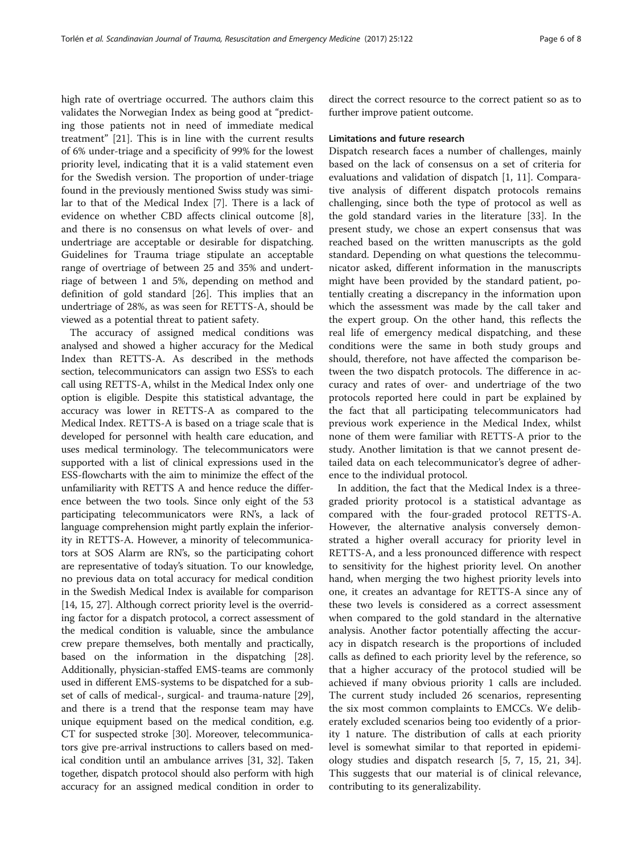high rate of overtriage occurred. The authors claim this validates the Norwegian Index as being good at "predicting those patients not in need of immediate medical treatment" [[21](#page-7-0)]. This is in line with the current results of 6% under-triage and a specificity of 99% for the lowest priority level, indicating that it is a valid statement even for the Swedish version. The proportion of under-triage found in the previously mentioned Swiss study was similar to that of the Medical Index [\[7](#page-6-0)]. There is a lack of evidence on whether CBD affects clinical outcome [\[8](#page-6-0)], and there is no consensus on what levels of over- and undertriage are acceptable or desirable for dispatching. Guidelines for Trauma triage stipulate an acceptable range of overtriage of between 25 and 35% and undertriage of between 1 and 5%, depending on method and definition of gold standard [\[26\]](#page-7-0). This implies that an undertriage of 28%, as was seen for RETTS-A, should be viewed as a potential threat to patient safety.

The accuracy of assigned medical conditions was analysed and showed a higher accuracy for the Medical Index than RETTS-A. As described in the methods section, telecommunicators can assign two ESS's to each call using RETTS-A, whilst in the Medical Index only one option is eligible. Despite this statistical advantage, the accuracy was lower in RETTS-A as compared to the Medical Index. RETTS-A is based on a triage scale that is developed for personnel with health care education, and uses medical terminology. The telecommunicators were supported with a list of clinical expressions used in the ESS-flowcharts with the aim to minimize the effect of the unfamiliarity with RETTS A and hence reduce the difference between the two tools. Since only eight of the 53 participating telecommunicators were RN's, a lack of language comprehension might partly explain the inferiority in RETTS-A. However, a minority of telecommunicators at SOS Alarm are RN's, so the participating cohort are representative of today's situation. To our knowledge, no previous data on total accuracy for medical condition in the Swedish Medical Index is available for comparison [[14](#page-7-0), [15](#page-7-0), [27](#page-7-0)]. Although correct priority level is the overriding factor for a dispatch protocol, a correct assessment of the medical condition is valuable, since the ambulance crew prepare themselves, both mentally and practically, based on the information in the dispatching [[28](#page-7-0)]. Additionally, physician-staffed EMS-teams are commonly used in different EMS-systems to be dispatched for a subset of calls of medical-, surgical- and trauma-nature [[29](#page-7-0)], and there is a trend that the response team may have unique equipment based on the medical condition, e.g. CT for suspected stroke [[30](#page-7-0)]. Moreover, telecommunicators give pre-arrival instructions to callers based on medical condition until an ambulance arrives [\[31, 32](#page-7-0)]. Taken together, dispatch protocol should also perform with high accuracy for an assigned medical condition in order to

direct the correct resource to the correct patient so as to further improve patient outcome.

#### Limitations and future research

Dispatch research faces a number of challenges, mainly based on the lack of consensus on a set of criteria for evaluations and validation of dispatch [\[1](#page-6-0), [11\]](#page-6-0). Comparative analysis of different dispatch protocols remains challenging, since both the type of protocol as well as the gold standard varies in the literature [\[33](#page-7-0)]. In the present study, we chose an expert consensus that was reached based on the written manuscripts as the gold standard. Depending on what questions the telecommunicator asked, different information in the manuscripts might have been provided by the standard patient, potentially creating a discrepancy in the information upon which the assessment was made by the call taker and the expert group. On the other hand, this reflects the real life of emergency medical dispatching, and these conditions were the same in both study groups and should, therefore, not have affected the comparison between the two dispatch protocols. The difference in accuracy and rates of over- and undertriage of the two protocols reported here could in part be explained by the fact that all participating telecommunicators had previous work experience in the Medical Index, whilst none of them were familiar with RETTS-A prior to the study. Another limitation is that we cannot present detailed data on each telecommunicator's degree of adherence to the individual protocol.

In addition, the fact that the Medical Index is a threegraded priority protocol is a statistical advantage as compared with the four-graded protocol RETTS-A. However, the alternative analysis conversely demonstrated a higher overall accuracy for priority level in RETTS-A, and a less pronounced difference with respect to sensitivity for the highest priority level. On another hand, when merging the two highest priority levels into one, it creates an advantage for RETTS-A since any of these two levels is considered as a correct assessment when compared to the gold standard in the alternative analysis. Another factor potentially affecting the accuracy in dispatch research is the proportions of included calls as defined to each priority level by the reference, so that a higher accuracy of the protocol studied will be achieved if many obvious priority 1 calls are included. The current study included 26 scenarios, representing the six most common complaints to EMCCs. We deliberately excluded scenarios being too evidently of a priority 1 nature. The distribution of calls at each priority level is somewhat similar to that reported in epidemiology studies and dispatch research [[5, 7,](#page-6-0) [15](#page-7-0), [21](#page-7-0), [34](#page-7-0)]. This suggests that our material is of clinical relevance, contributing to its generalizability.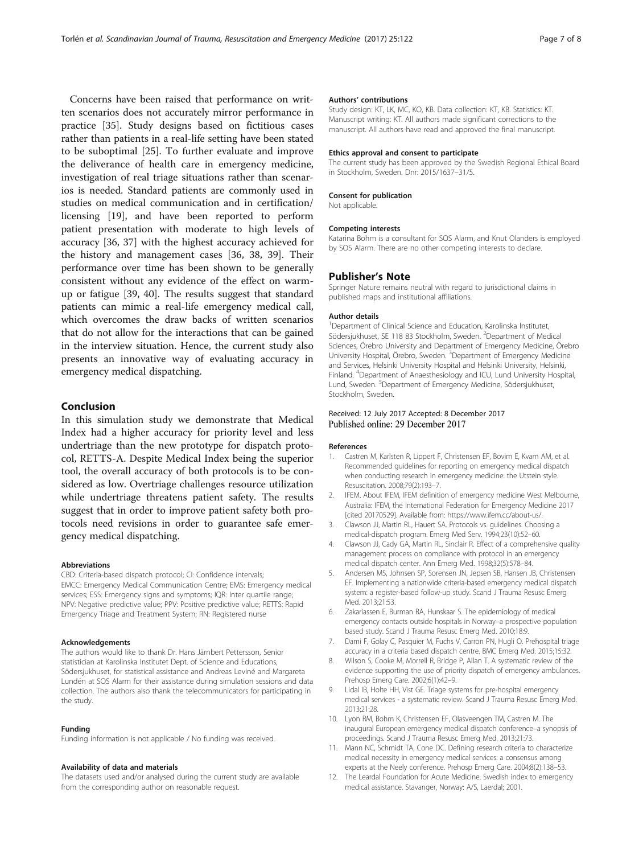<span id="page-6-0"></span>Concerns have been raised that performance on written scenarios does not accurately mirror performance in practice [[35\]](#page-7-0). Study designs based on fictitious cases rather than patients in a real-life setting have been stated to be suboptimal [\[25](#page-7-0)]. To further evaluate and improve the deliverance of health care in emergency medicine, investigation of real triage situations rather than scenarios is needed. Standard patients are commonly used in studies on medical communication and in certification/ licensing [[19\]](#page-7-0), and have been reported to perform patient presentation with moderate to high levels of accuracy [[36, 37](#page-7-0)] with the highest accuracy achieved for the history and management cases [\[36, 38, 39\]](#page-7-0). Their performance over time has been shown to be generally consistent without any evidence of the effect on warmup or fatigue [\[39](#page-7-0), [40\]](#page-7-0). The results suggest that standard patients can mimic a real-life emergency medical call, which overcomes the draw backs of written scenarios that do not allow for the interactions that can be gained in the interview situation. Hence, the current study also presents an innovative way of evaluating accuracy in emergency medical dispatching.

## Conclusion

In this simulation study we demonstrate that Medical Index had a higher accuracy for priority level and less undertriage than the new prototype for dispatch protocol, RETTS-A. Despite Medical Index being the superior tool, the overall accuracy of both protocols is to be considered as low. Overtriage challenges resource utilization while undertriage threatens patient safety. The results suggest that in order to improve patient safety both protocols need revisions in order to guarantee safe emergency medical dispatching.

#### Abbreviations

CBD: Criteria-based dispatch protocol; CI: Confidence intervals; EMCC: Emergency Medical Communication Centre; EMS: Emergency medical services; ESS: Emergency signs and symptoms; IQR: Inter quartile range; NPV: Negative predictive value; PPV: Positive predictive value; RETTS: Rapid Emergency Triage and Treatment System; RN: Registered nurse

#### Acknowledgements

The authors would like to thank Dr. Hans Järnbert Pettersson, Senior statistician at Karolinska Institutet Dept. of Science and Educations, Södersjukhuset, for statistical assistance and Andreas Leviné and Margareta Lundén at SOS Alarm for their assistance during simulation sessions and data collection. The authors also thank the telecommunicators for participating in the study.

#### Funding

Funding information is not applicable / No funding was received.

#### Availability of data and materials

The datasets used and/or analysed during the current study are available from the corresponding author on reasonable request.

#### Authors' contributions

Study design: KT, LK, MC, KO, KB. Data collection: KT, KB. Statistics: KT. Manuscript writing: KT. All authors made significant corrections to the manuscript. All authors have read and approved the final manuscript.

#### Ethics approval and consent to participate

The current study has been approved by the Swedish Regional Ethical Board in Stockholm, Sweden. Dnr: 2015/1637–31/5.

#### Consent for publication

Not applicable.

#### Competing interests

Katarina Bohm is a consultant for SOS Alarm, and Knut Olanders is employed by SOS Alarm. There are no other competing interests to declare.

## Publisher's Note

Springer Nature remains neutral with regard to jurisdictional claims in published maps and institutional affiliations.

#### Author details

<sup>1</sup>Department of Clinical Science and Education, Karolinska Institutet, Södersjukhuset, SE 118 83 Stockholm, Sweden. <sup>2</sup>Department of Medical Sciences, Örebro University and Department of Emergency Medicine, Örebro University Hospital, Örebro, Sweden. <sup>3</sup>Department of Emergency Medicine and Services, Helsinki University Hospital and Helsinki University, Helsinki, Finland. <sup>4</sup> Department of Anaesthesiology and ICU, Lund University Hospital, Lund, Sweden. <sup>5</sup>Department of Emergency Medicine, Södersjukhuset, Stockholm, Sweden.

#### Received: 12 July 2017 Accepted: 8 December 2017 Published online: 29 December 2017

#### References

- 1. Castren M, Karlsten R, Lippert F, Christensen EF, Bovim E, Kvam AM, et al. Recommended guidelines for reporting on emergency medical dispatch when conducting research in emergency medicine: the Utstein style. Resuscitation. 2008;79(2):193–7.
- 2. IFEM. About IFEM, IFEM definition of emergency medicine West Melbourne, Australia: IFEM, the International Federation for Emergency Medicine 2017 [cited 20170529]. Available from: [https://www.ifem.cc/about-us/.](https://www.ifem.cc/about-us)
- 3. Clawson JJ, Martin RL, Hauert SA. Protocols vs. guidelines. Choosing a medical-dispatch program. Emerg Med Serv. 1994;23(10):52–60.
- 4. Clawson JJ, Cady GA, Martin RL, Sinclair R. Effect of a comprehensive quality management process on compliance with protocol in an emergency medical dispatch center. Ann Emerg Med. 1998;32(5):578–84.
- 5. Andersen MS, Johnsen SP, Sorensen JN, Jepsen SB, Hansen JB, Christensen EF. Implementing a nationwide criteria-based emergency medical dispatch system: a register-based follow-up study. Scand J Trauma Resusc Emerg Med. 2013;21:53.
- 6. Zakariassen E, Burman RA, Hunskaar S. The epidemiology of medical emergency contacts outside hospitals in Norway–a prospective population based study. Scand J Trauma Resusc Emerg Med. 2010;18:9.
- 7. Dami F, Golay C, Pasquier M, Fuchs V, Carron PN, Hugli O. Prehospital triage accuracy in a criteria based dispatch centre. BMC Emerg Med. 2015;15:32.
- Wilson S, Cooke M, Morrell R, Bridge P, Allan T. A systematic review of the evidence supporting the use of priority dispatch of emergency ambulances. Prehosp Emerg Care. 2002;6(1):42–9.
- 9. Lidal IB, Holte HH, Vist GE. Triage systems for pre-hospital emergency medical services - a systematic review. Scand J Trauma Resusc Emerg Med. 2013;21:28.
- 10. Lyon RM, Bohm K, Christensen EF, Olasveengen TM, Castren M. The inaugural European emergency medical dispatch conference–a synopsis of proceedings. Scand J Trauma Resusc Emerg Med. 2013;21:73.
- 11. Mann NC, Schmidt TA, Cone DC. Defining research criteria to characterize medical necessity in emergency medical services: a consensus among experts at the Neely conference. Prehosp Emerg Care. 2004;8(2):138–53.
- 12. The Leardal Foundation for Acute Medicine. Swedish index to emergency medical assistance. Stavanger, Norway: A/S, Laerdal; 2001.